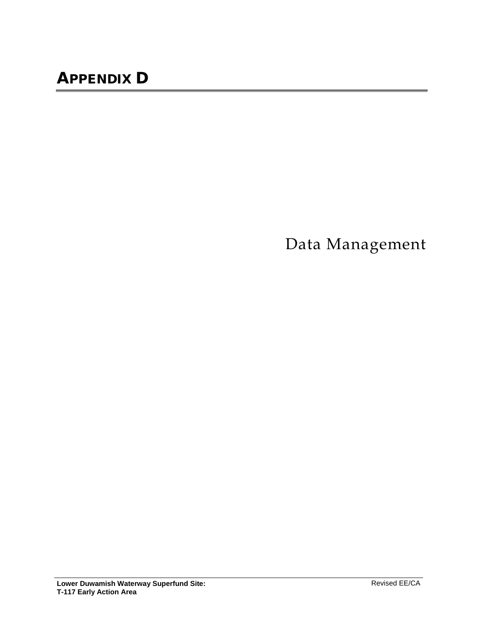Data Management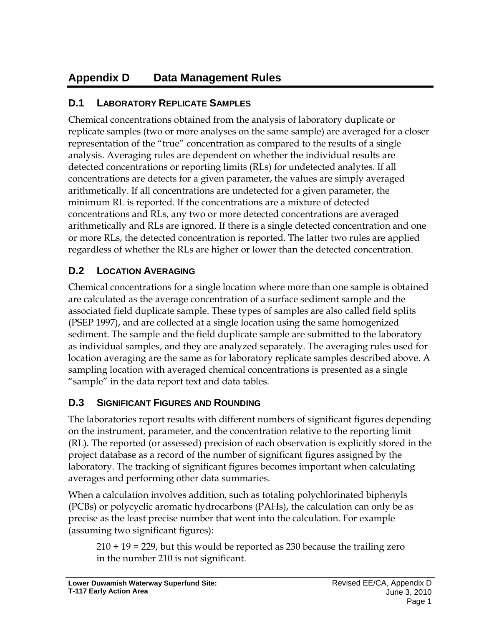# **Appendix D Data Management Rules**

# **D.1 LABORATORY REPLICATE SAMPLES**

Chemical concentrations obtained from the analysis of laboratory duplicate or replicate samples (two or more analyses on the same sample) are averaged for a closer representation of the "true" concentration as compared to the results of a single analysis. Averaging rules are dependent on whether the individual results are detected concentrations or reporting limits (RLs) for undetected analytes. If all concentrations are detects for a given parameter, the values are simply averaged arithmetically. If all concentrations are undetected for a given parameter, the minimum RL is reported. If the concentrations are a mixture of detected concentrations and RLs, any two or more detected concentrations are averaged arithmetically and RLs are ignored. If there is a single detected concentration and one or more RLs, the detected concentration is reported. The latter two rules are applied regardless of whether the RLs are higher or lower than the detected concentration.

# **D.2 LOCATION AVERAGING**

Chemical concentrations for a single location where more than one sample is obtained are calculated as the average concentration of a surface sediment sample and the associated field duplicate sample. These types of samples are also called field splits (PSEP 1997), and are collected at a single location using the same homogenized sediment. The sample and the field duplicate sample are submitted to the laboratory as individual samples, and they are analyzed separately. The averaging rules used for location averaging are the same as for laboratory replicate samples described above. A sampling location with averaged chemical concentrations is presented as a single "sample" in the data report text and data tables.

# **D.3 SIGNIFICANT FIGURES AND ROUNDING**

The laboratories report results with different numbers of significant figures depending on the instrument, parameter, and the concentration relative to the reporting limit (RL). The reported (or assessed) precision of each observation is explicitly stored in the project database as a record of the number of significant figures assigned by the laboratory. The tracking of significant figures becomes important when calculating averages and performing other data summaries.

When a calculation involves addition, such as totaling polychlorinated biphenyls (PCBs) or polycyclic aromatic hydrocarbons (PAHs), the calculation can only be as precise as the least precise number that went into the calculation. For example (assuming two significant figures):

210 + 19 = 229, but this would be reported as 230 because the trailing zero in the number 210 is not significant.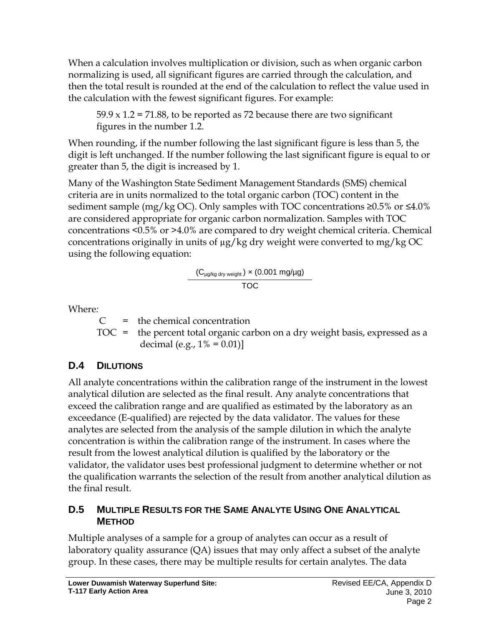When a calculation involves multiplication or division, such as when organic carbon normalizing is used, all significant figures are carried through the calculation, and then the total result is rounded at the end of the calculation to reflect the value used in the calculation with the fewest significant figures. For example:

 $59.9 \times 1.2 = 71.88$ , to be reported as 72 because there are two significant figures in the number 1.2.

When rounding, if the number following the last significant figure is less than 5, the digit is left unchanged. If the number following the last significant figure is equal to or greater than 5, the digit is increased by 1.

Many of the Washington State Sediment Management Standards (SMS) chemical criteria are in units normalized to the total organic carbon (TOC) content in the sediment sample (mg/kg OC). Only samples with TOC concentrations  $\geq 0.5\%$  or  $\leq 4.0\%$ are considered appropriate for organic carbon normalization. Samples with TOC concentrations <0.5% or >4.0% are compared to dry weight chemical criteria. Chemical concentrations originally in units of µg/kg dry weight were converted to mg/kg OC using the following equation:

$$
\frac{(C_{\mu g/kg\, dry\, weight}) \times (0.001\; mg/\mu g)}{TOC}
$$

Where*:*

 $C =$  the chemical concentration

 $TOC$  = the percent total organic carbon on a dry weight basis, expressed as a decimal (e.g.,  $1\% = 0.01$ )

# **D.4 DILUTIONS**

All analyte concentrations within the calibration range of the instrument in the lowest analytical dilution are selected as the final result. Any analyte concentrations that exceed the calibration range and are qualified as estimated by the laboratory as an exceedance (E-qualified) are rejected by the data validator. The values for these analytes are selected from the analysis of the sample dilution in which the analyte concentration is within the calibration range of the instrument. In cases where the result from the lowest analytical dilution is qualified by the laboratory or the validator, the validator uses best professional judgment to determine whether or not the qualification warrants the selection of the result from another analytical dilution as the final result.

### **D.5 MULTIPLE RESULTS FOR THE SAME ANALYTE USING ONE ANALYTICAL METHOD**

Multiple analyses of a sample for a group of analytes can occur as a result of laboratory quality assurance (QA) issues that may only affect a subset of the analyte group. In these cases, there may be multiple results for certain analytes. The data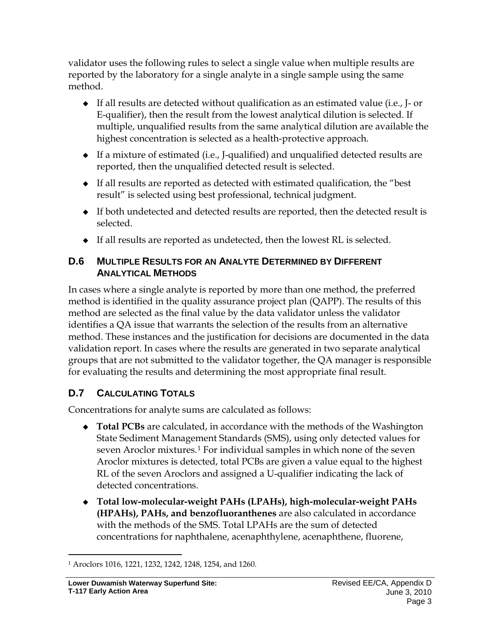validator uses the following rules to select a single value when multiple results are reported by the laboratory for a single analyte in a single sample using the same method.

- $\bullet$  If all results are detected without qualification as an estimated value (i.e., J- or E-qualifier), then the result from the lowest analytical dilution is selected. If multiple, unqualified results from the same analytical dilution are available the highest concentration is selected as a health-protective approach.
- If a mixture of estimated (i.e., J-qualified) and unqualified detected results are reported, then the unqualified detected result is selected.
- $\bullet$  If all results are reported as detected with estimated qualification, the "best" result" is selected using best professional, technical judgment.
- If both undetected and detected results are reported, then the detected result is selected.
- If all results are reported as undetected, then the lowest RL is selected.

### **D.6 MULTIPLE RESULTS FOR AN ANALYTE DETERMINED BY DIFFERENT ANALYTICAL METHODS**

In cases where a single analyte is reported by more than one method, the preferred method is identified in the quality assurance project plan (QAPP). The results of this method are selected as the final value by the data validator unless the validator identifies a QA issue that warrants the selection of the results from an alternative method. These instances and the justification for decisions are documented in the data validation report. In cases where the results are generated in two separate analytical groups that are not submitted to the validator together, the QA manager is responsible for evaluating the results and determining the most appropriate final result.

# **D.7 CALCULATING TOTALS**

Concentrations for analyte sums are calculated as follows:

- **Total PCBs** are calculated, in accordance with the methods of the Washington State Sediment Management Standards (SMS), using only detected values for seven Aroclor mixtures.[1](#page-3-0) For individual samples in which none of the seven Aroclor mixtures is detected, total PCBs are given a value equal to the highest RL of the seven Aroclors and assigned a U-qualifier indicating the lack of detected concentrations.
- **Total low-molecular-weight PAHs (LPAHs), high-molecular-weight PAHs (HPAHs), PAHs, and benzofluoranthenes** are also calculated in accordance with the methods of the SMS. Total LPAHs are the sum of detected concentrations for naphthalene, acenaphthylene, acenaphthene, fluorene,

<span id="page-3-0"></span> $\overline{a}$ <sup>1</sup> Aroclors 1016, 1221, 1232, 1242, 1248, 1254, and 1260.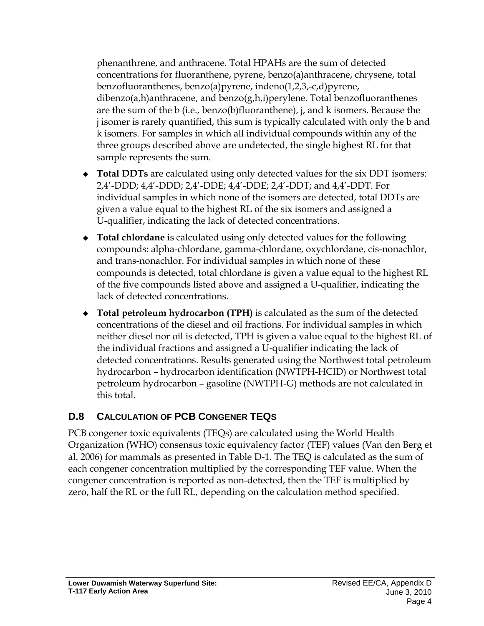phenanthrene, and anthracene. Total HPAHs are the sum of detected concentrations for fluoranthene, pyrene, benzo(a)anthracene, chrysene, total benzofluoranthenes, benzo(a)pyrene, indeno(1,2,3,-c,d)pyrene, dibenzo(a,h)anthracene, and benzo(g,h,i)perylene. Total benzofluoranthenes are the sum of the b (i.e., benzo(b)fluoranthene), j, and k isomers. Because the j isomer is rarely quantified, this sum is typically calculated with only the b and k isomers. For samples in which all individual compounds within any of the three groups described above are undetected, the single highest RL for that sample represents the sum.

- **Total DDTs** are calculated using only detected values for the six DDT isomers: 2,4'-DDD; 4,4'-DDD; 2,4'-DDE; 4,4'-DDE; 2,4'-DDT; and 4,4'-DDT. For individual samples in which none of the isomers are detected, total DDTs are given a value equal to the highest RL of the six isomers and assigned a U-qualifier, indicating the lack of detected concentrations.
- **Total chlordane** is calculated using only detected values for the following compounds: alpha-chlordane, gamma-chlordane, oxychlordane, cis-nonachlor, and trans-nonachlor. For individual samples in which none of these compounds is detected, total chlordane is given a value equal to the highest RL of the five compounds listed above and assigned a U-qualifier, indicating the lack of detected concentrations.
- **Total petroleum hydrocarbon (TPH)** is calculated as the sum of the detected concentrations of the diesel and oil fractions. For individual samples in which neither diesel nor oil is detected, TPH is given a value equal to the highest RL of the individual fractions and assigned a U-qualifier indicating the lack of detected concentrations. Results generated using the Northwest total petroleum hydrocarbon – hydrocarbon identification (NWTPH-HCID) or Northwest total petroleum hydrocarbon – gasoline (NWTPH-G) methods are not calculated in this total.

# **D.8 CALCULATION OF PCB CONGENER TEQS**

PCB congener toxic equivalents (TEQs) are calculated using the World Health Organization (WHO) consensus toxic equivalency factor (TEF) values (Van den Berg et al. 2006) for mammals as presented in Table D-1. The TEQ is calculated as the sum of each congener concentration multiplied by the corresponding TEF value. When the congener concentration is reported as non-detected, then the TEF is multiplied by zero, half the RL or the full RL, depending on the calculation method specified.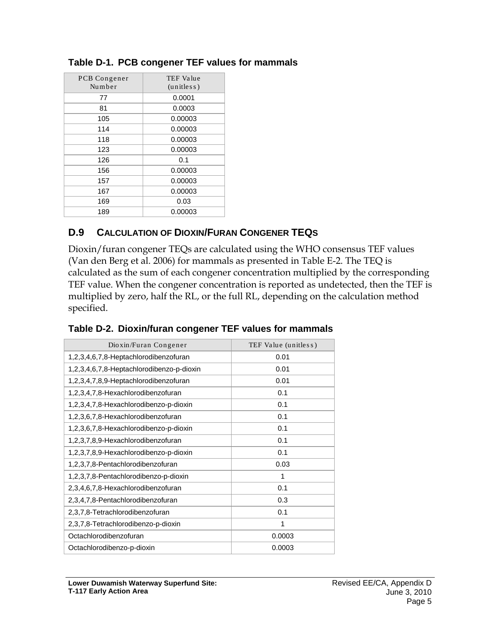| PCB Congener<br>Number | <b>TEF Value</b><br>(unitless) |
|------------------------|--------------------------------|
| 77                     | 0.0001                         |
| 81                     | 0.0003                         |
| 105                    | 0.00003                        |
| 114                    | 0.00003                        |
| 118                    | 0.00003                        |
| 123                    | 0.00003                        |
| 126                    | 0.1                            |
| 156                    | 0.00003                        |
| 157                    | 0.00003                        |
| 167                    | 0.00003                        |
| 169                    | 0.03                           |
| 189                    | 0.00003                        |

#### **Table D-1. PCB congener TEF values for mammals**

#### **D.9 CALCULATION OF DIOXIN/FURAN CONGENER TEQS**

Dioxin/furan congener TEQs are calculated using the WHO consensus TEF values (Van den Berg et al. 2006) for mammals as presented in Table E-2. The TEQ is calculated as the sum of each congener concentration multiplied by the corresponding TEF value. When the congener concentration is reported as undetected, then the TEF is multiplied by zero, half the RL, or the full RL, depending on the calculation method specified.

| Dioxin/Furan Congener                     | TEF Value (unitless) |  |
|-------------------------------------------|----------------------|--|
| 1,2,3,4,6,7,8-Heptachlorodibenzofuran     | 0.01                 |  |
| 1,2,3,4,6,7,8-Heptachlorodibenzo-p-dioxin | 0.01                 |  |
| 1,2,3,4,7,8,9-Heptachlorodibenzofuran     | 0.01                 |  |
| 1,2,3,4,7,8-Hexachlorodibenzofuran        | 0.1                  |  |
| 1,2,3,4,7,8-Hexachlorodibenzo-p-dioxin    | 0.1                  |  |
| 1,2,3,6,7,8-Hexachlorodibenzofuran        | 0.1                  |  |
| 1,2,3,6,7,8-Hexachlorodibenzo-p-dioxin    | 0.1                  |  |
| 1,2,3,7,8,9-Hexachlorodibenzofuran        | 0.1                  |  |
| 1,2,3,7,8,9-Hexachlorodibenzo-p-dioxin    | 0.1                  |  |
| 1,2,3,7,8-Pentachlorodibenzofuran         | 0.03                 |  |
| 1,2,3,7,8-Pentachlorodibenzo-p-dioxin     | 1                    |  |
| 2,3,4,6,7,8-Hexachlorodibenzofuran        | 0.1                  |  |
| 2,3,4,7,8-Pentachlorodibenzofuran         | 0.3                  |  |
| 2,3,7,8-Tetrachlorodibenzofuran           | 0.1                  |  |
| 2,3,7,8-Tetrachlorodibenzo-p-dioxin       | 1                    |  |
| Octachlorodibenzofuran                    | 0.0003               |  |
| Octachlorodibenzo-p-dioxin                | 0.0003               |  |

|  |  | Table D-2. Dioxin/furan congener TEF values for mammals |  |  |
|--|--|---------------------------------------------------------|--|--|
|--|--|---------------------------------------------------------|--|--|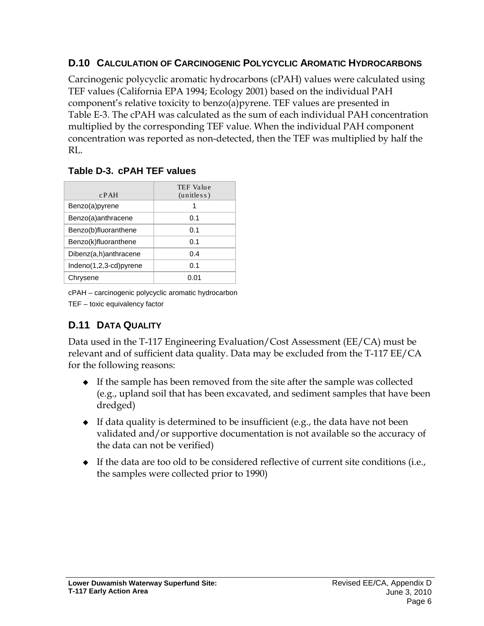### **D.10 CALCULATION OF CARCINOGENIC POLYCYCLIC AROMATIC HYDROCARBONS**

Carcinogenic polycyclic aromatic hydrocarbons (cPAH) values were calculated using TEF values (California EPA 1994; Ecology 2001) based on the individual PAH component's relative toxicity to benzo(a)pyrene. TEF values are presented in Table E-3. The cPAH was calculated as the sum of each individual PAH concentration multiplied by the corresponding TEF value. When the individual PAH component concentration was reported as non-detected, then the TEF was multiplied by half the RL.

### **Table D-3. cPAH TEF values**

| $c$ PAH                | TEF Value<br>(unitless) |
|------------------------|-------------------------|
| Benzo(a)pyrene         |                         |
| Benzo(a)anthracene     | 0.1                     |
| Benzo(b)fluoranthene   | 0.1                     |
| Benzo(k)fluoranthene   | 0.1                     |
| Dibenz(a,h)anthracene  | 0.4                     |
| Indeno(1,2,3-cd)pyrene | 0.1                     |
| Chrysene               | (1.01)                  |

cPAH – carcinogenic polycyclic aromatic hydrocarbon

TEF – toxic equivalency factor

# **D.11 DATA QUALITY**

Data used in the T-117 Engineering Evaluation/Cost Assessment (EE/CA) must be relevant and of sufficient data quality. Data may be excluded from the T-117 EE/CA for the following reasons:

- If the sample has been removed from the site after the sample was collected (e.g., upland soil that has been excavated, and sediment samples that have been dredged)
- $\bullet$  If data quality is determined to be insufficient (e.g., the data have not been validated and/or supportive documentation is not available so the accuracy of the data can not be verified)
- $\bullet$  If the data are too old to be considered reflective of current site conditions (i.e., the samples were collected prior to 1990)